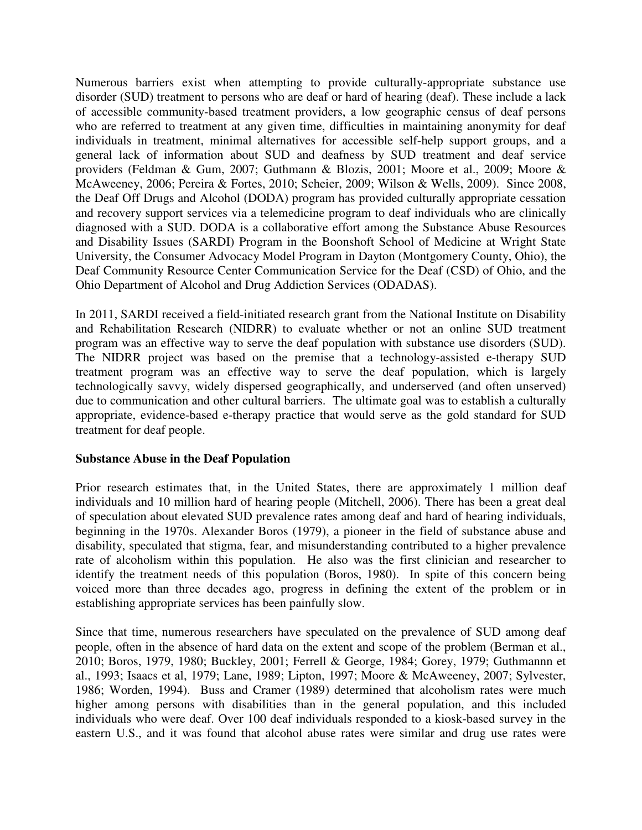Numerous barriers exist when attempting to provide culturally-appropriate substance use disorder (SUD) treatment to persons who are deaf or hard of hearing (deaf). These include a lack of accessible community-based treatment providers, a low geographic census of deaf persons who are referred to treatment at any given time, difficulties in maintaining anonymity for deaf individuals in treatment, minimal alternatives for accessible self-help support groups, and a general lack of information about SUD and deafness by SUD treatment and deaf service providers (Feldman & Gum, 2007; Guthmann & Blozis, 2001; Moore et al., 2009; Moore & McAweeney, 2006; Pereira & Fortes, 2010; Scheier, 2009; Wilson & Wells, 2009). Since 2008, the Deaf Off Drugs and Alcohol (DODA) program has provided culturally appropriate cessation and recovery support services via a telemedicine program to deaf individuals who are clinically diagnosed with a SUD. DODA is a collaborative effort among the Substance Abuse Resources and Disability Issues (SARDI) Program in the Boonshoft School of Medicine at Wright State University, the Consumer Advocacy Model Program in Dayton (Montgomery County, Ohio), the Deaf Community Resource Center Communication Service for the Deaf (CSD) of Ohio, and the Ohio Department of Alcohol and Drug Addiction Services (ODADAS).

In 2011, SARDI received a field-initiated research grant from the National Institute on Disability and Rehabilitation Research (NIDRR) to evaluate whether or not an online SUD treatment program was an effective way to serve the deaf population with substance use disorders (SUD). The NIDRR project was based on the premise that a technology-assisted e-therapy SUD treatment program was an effective way to serve the deaf population, which is largely technologically savvy, widely dispersed geographically, and underserved (and often unserved) due to communication and other cultural barriers. The ultimate goal was to establish a culturally appropriate, evidence-based e-therapy practice that would serve as the gold standard for SUD treatment for deaf people.

## **Substance Abuse in the Deaf Population**

Prior research estimates that, in the United States, there are approximately 1 million deaf individuals and 10 million hard of hearing people (Mitchell, 2006). There has been a great deal of speculation about elevated SUD prevalence rates among deaf and hard of hearing individuals, beginning in the 1970s. Alexander Boros (1979), a pioneer in the field of substance abuse and disability, speculated that stigma, fear, and misunderstanding contributed to a higher prevalence rate of alcoholism within this population. He also was the first clinician and researcher to identify the treatment needs of this population (Boros, 1980). In spite of this concern being voiced more than three decades ago, progress in defining the extent of the problem or in establishing appropriate services has been painfully slow.

Since that time, numerous researchers have speculated on the prevalence of SUD among deaf people, often in the absence of hard data on the extent and scope of the problem (Berman et al., 2010; Boros, 1979, 1980; Buckley, 2001; Ferrell & George, 1984; Gorey, 1979; Guthmannn et al., 1993; Isaacs et al, 1979; Lane, 1989; Lipton, 1997; Moore & McAweeney, 2007; Sylvester, 1986; Worden, 1994). Buss and Cramer (1989) determined that alcoholism rates were much higher among persons with disabilities than in the general population, and this included individuals who were deaf. Over 100 deaf individuals responded to a kiosk-based survey in the eastern U.S., and it was found that alcohol abuse rates were similar and drug use rates were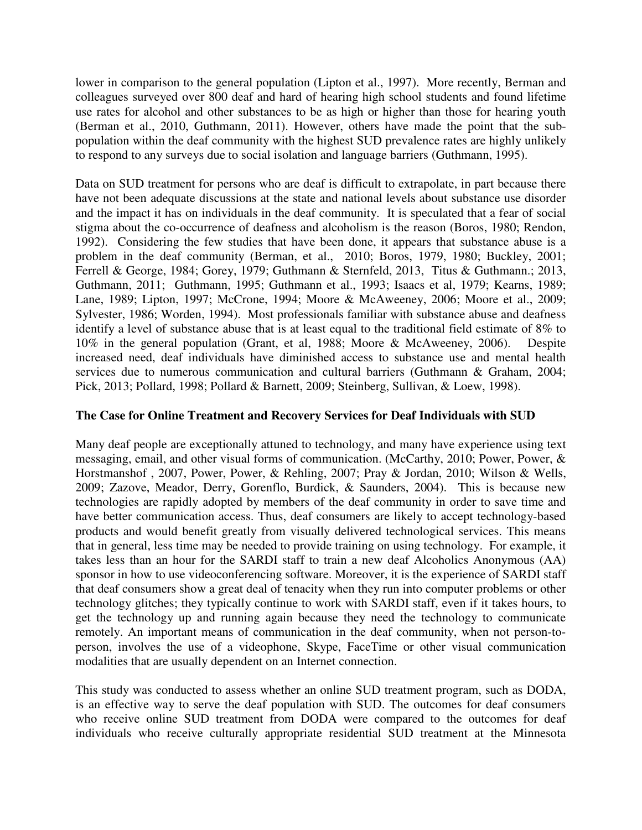lower in comparison to the general population (Lipton et al., 1997). More recently, Berman and colleagues surveyed over 800 deaf and hard of hearing high school students and found lifetime use rates for alcohol and other substances to be as high or higher than those for hearing youth (Berman et al., 2010, Guthmann, 2011). However, others have made the point that the subpopulation within the deaf community with the highest SUD prevalence rates are highly unlikely to respond to any surveys due to social isolation and language barriers (Guthmann, 1995).

Data on SUD treatment for persons who are deaf is difficult to extrapolate, in part because there have not been adequate discussions at the state and national levels about substance use disorder and the impact it has on individuals in the deaf community. It is speculated that a fear of social stigma about the co-occurrence of deafness and alcoholism is the reason (Boros, 1980; Rendon, 1992). Considering the few studies that have been done, it appears that substance abuse is a problem in the deaf community (Berman, et al., 2010; Boros, 1979, 1980; Buckley, 2001; Ferrell & George, 1984; Gorey, 1979; Guthmann & Sternfeld, 2013, Titus & Guthmann.; 2013, Guthmann, 2011; Guthmann, 1995; Guthmann et al., 1993; Isaacs et al, 1979; Kearns, 1989; Lane, 1989; Lipton, 1997; McCrone, 1994; Moore & McAweeney, 2006; Moore et al., 2009; Sylvester, 1986; Worden, 1994). Most professionals familiar with substance abuse and deafness identify a level of substance abuse that is at least equal to the traditional field estimate of 8% to 10% in the general population (Grant, et al, 1988; Moore & McAweeney, 2006). Despite increased need, deaf individuals have diminished access to substance use and mental health services due to numerous communication and cultural barriers (Guthmann & Graham, 2004; Pick, 2013; Pollard, 1998; Pollard & Barnett, 2009; Steinberg, Sullivan, & Loew, 1998).

## **The Case for Online Treatment and Recovery Services for Deaf Individuals with SUD**

Many deaf people are exceptionally attuned to technology, and many have experience using text messaging, email, and other visual forms of communication. (McCarthy, 2010; Power, Power, & Horstmanshof , 2007, Power, Power, & Rehling, 2007; Pray & Jordan, 2010; Wilson & Wells, 2009; Zazove, Meador, Derry, Gorenflo, Burdick, & Saunders, 2004). This is because new technologies are rapidly adopted by members of the deaf community in order to save time and have better communication access. Thus, deaf consumers are likely to accept technology-based products and would benefit greatly from visually delivered technological services. This means that in general, less time may be needed to provide training on using technology. For example, it takes less than an hour for the SARDI staff to train a new deaf Alcoholics Anonymous (AA) sponsor in how to use videoconferencing software. Moreover, it is the experience of SARDI staff that deaf consumers show a great deal of tenacity when they run into computer problems or other technology glitches; they typically continue to work with SARDI staff, even if it takes hours, to get the technology up and running again because they need the technology to communicate remotely. An important means of communication in the deaf community, when not person-toperson, involves the use of a videophone, Skype, FaceTime or other visual communication modalities that are usually dependent on an Internet connection.

This study was conducted to assess whether an online SUD treatment program, such as DODA, is an effective way to serve the deaf population with SUD. The outcomes for deaf consumers who receive online SUD treatment from DODA were compared to the outcomes for deaf individuals who receive culturally appropriate residential SUD treatment at the Minnesota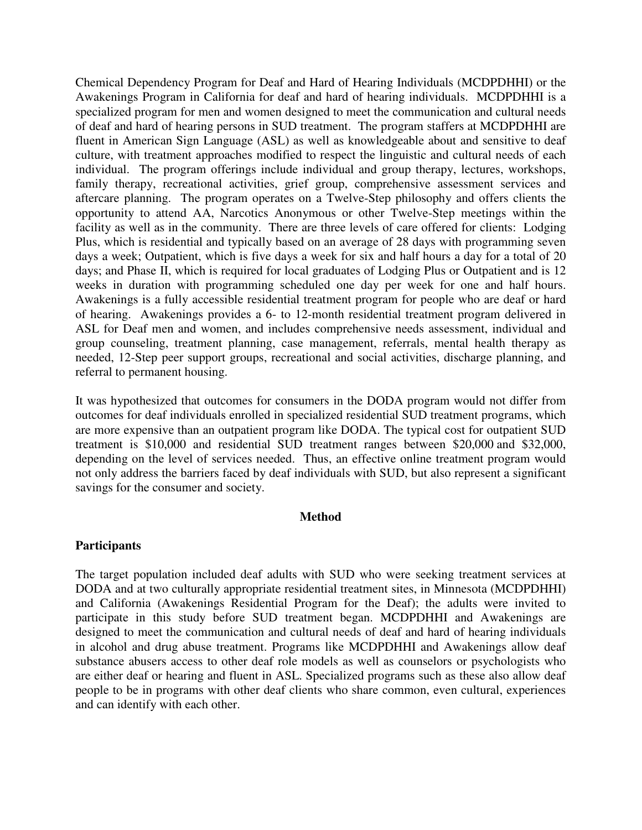Chemical Dependency Program for Deaf and Hard of Hearing Individuals (MCDPDHHI) or the Awakenings Program in California for deaf and hard of hearing individuals. MCDPDHHI is a specialized program for men and women designed to meet the communication and cultural needs of deaf and hard of hearing persons in SUD treatment. The program staffers at MCDPDHHI are fluent in American Sign Language (ASL) as well as knowledgeable about and sensitive to deaf culture, with treatment approaches modified to respect the linguistic and cultural needs of each individual. The program offerings include individual and group therapy, lectures, workshops, family therapy, recreational activities, grief group, comprehensive assessment services and aftercare planning. The program operates on a Twelve-Step philosophy and offers clients the opportunity to attend AA, Narcotics Anonymous or other Twelve-Step meetings within the facility as well as in the community. There are three levels of care offered for clients: Lodging Plus, which is residential and typically based on an average of 28 days with programming seven days a week; Outpatient, which is five days a week for six and half hours a day for a total of 20 days; and Phase II, which is required for local graduates of Lodging Plus or Outpatient and is 12 weeks in duration with programming scheduled one day per week for one and half hours. Awakenings is a fully accessible residential treatment program for people who are deaf or hard of hearing. Awakenings provides a 6- to 12-month residential treatment program delivered in ASL for Deaf men and women, and includes comprehensive needs assessment, individual and group counseling, treatment planning, case management, referrals, mental health therapy as needed, 12-Step peer support groups, recreational and social activities, discharge planning, and referral to permanent housing.

It was hypothesized that outcomes for consumers in the DODA program would not differ from outcomes for deaf individuals enrolled in specialized residential SUD treatment programs, which are more expensive than an outpatient program like DODA. The typical cost for outpatient SUD treatment is \$10,000 and residential SUD treatment ranges between \$20,000 and \$32,000, depending on the level of services needed. Thus, an effective online treatment program would not only address the barriers faced by deaf individuals with SUD, but also represent a significant savings for the consumer and society.

### **Method**

### **Participants**

The target population included deaf adults with SUD who were seeking treatment services at DODA and at two culturally appropriate residential treatment sites, in Minnesota (MCDPDHHI) and California (Awakenings Residential Program for the Deaf); the adults were invited to participate in this study before SUD treatment began. MCDPDHHI and Awakenings are designed to meet the communication and cultural needs of deaf and hard of hearing individuals in alcohol and drug abuse treatment. Programs like MCDPDHHI and Awakenings allow deaf substance abusers access to other deaf role models as well as counselors or psychologists who are either deaf or hearing and fluent in ASL. Specialized programs such as these also allow deaf people to be in programs with other deaf clients who share common, even cultural, experiences and can identify with each other.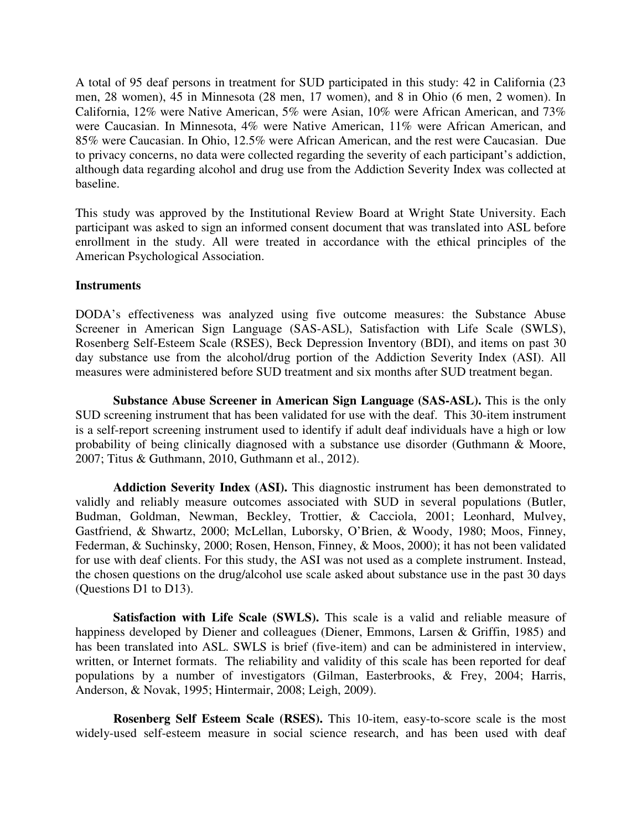A total of 95 deaf persons in treatment for SUD participated in this study: 42 in California (23 men, 28 women), 45 in Minnesota (28 men, 17 women), and 8 in Ohio (6 men, 2 women). In California, 12% were Native American, 5% were Asian, 10% were African American, and 73% were Caucasian. In Minnesota, 4% were Native American, 11% were African American, and 85% were Caucasian. In Ohio, 12.5% were African American, and the rest were Caucasian. Due to privacy concerns, no data were collected regarding the severity of each participant's addiction, although data regarding alcohol and drug use from the Addiction Severity Index was collected at baseline.

This study was approved by the Institutional Review Board at Wright State University. Each participant was asked to sign an informed consent document that was translated into ASL before enrollment in the study. All were treated in accordance with the ethical principles of the American Psychological Association.

### **Instruments**

DODA's effectiveness was analyzed using five outcome measures: the Substance Abuse Screener in American Sign Language (SAS-ASL), Satisfaction with Life Scale (SWLS), Rosenberg Self-Esteem Scale (RSES), Beck Depression Inventory (BDI), and items on past 30 day substance use from the alcohol/drug portion of the Addiction Severity Index (ASI). All measures were administered before SUD treatment and six months after SUD treatment began.

**Substance Abuse Screener in American Sign Language (SAS-ASL).** This is the only SUD screening instrument that has been validated for use with the deaf. This 30-item instrument is a self-report screening instrument used to identify if adult deaf individuals have a high or low probability of being clinically diagnosed with a substance use disorder (Guthmann & Moore, 2007; Titus & Guthmann, 2010, Guthmann et al., 2012).

**Addiction Severity Index (ASI).** This diagnostic instrument has been demonstrated to validly and reliably measure outcomes associated with SUD in several populations (Butler, Budman, Goldman, Newman, Beckley, Trottier, & Cacciola, 2001; Leonhard, Mulvey, Gastfriend, & Shwartz, 2000; McLellan, Luborsky, O'Brien, & Woody, 1980; Moos, Finney, Federman, & Suchinsky, 2000; Rosen, Henson, Finney, & Moos, 2000); it has not been validated for use with deaf clients. For this study, the ASI was not used as a complete instrument. Instead, the chosen questions on the drug/alcohol use scale asked about substance use in the past 30 days (Questions D1 to D13).

**Satisfaction with Life Scale (SWLS).** This scale is a valid and reliable measure of happiness developed by Diener and colleagues (Diener, Emmons, Larsen & Griffin, 1985) and has been translated into ASL. SWLS is brief (five-item) and can be administered in interview, written, or Internet formats. The reliability and validity of this scale has been reported for deaf populations by a number of investigators (Gilman, Easterbrooks, & Frey, 2004; Harris, Anderson, & Novak, 1995; Hintermair, 2008; Leigh, 2009).

**Rosenberg Self Esteem Scale (RSES).** This 10-item, easy-to-score scale is the most widely-used self-esteem measure in social science research, and has been used with deaf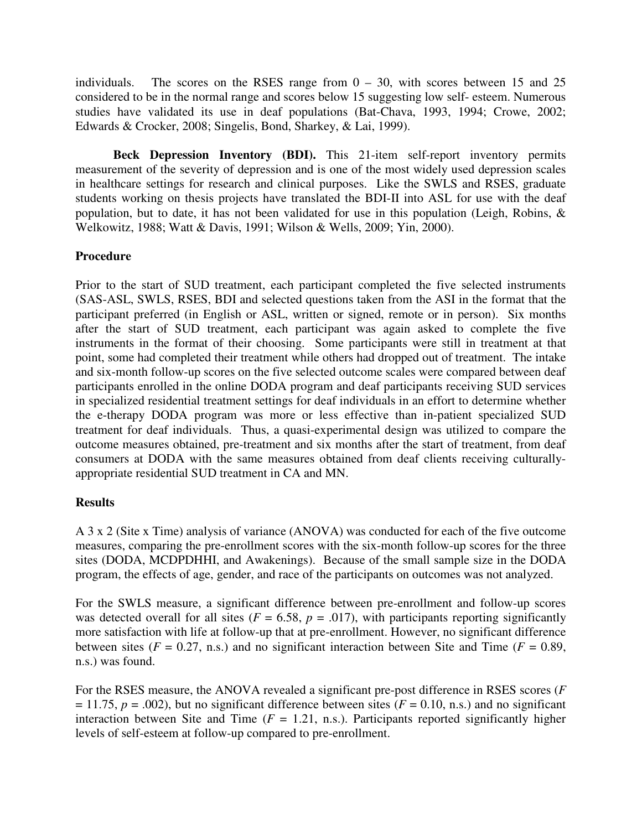individuals. The scores on the RSES range from  $0 - 30$ , with scores between 15 and 25 considered to be in the normal range and scores below 15 suggesting low self- esteem. Numerous studies have validated its use in deaf populations (Bat-Chava, 1993, 1994; Crowe, 2002; Edwards & Crocker, 2008; Singelis, Bond, Sharkey, & Lai, 1999).

**Beck Depression Inventory (BDI).** This 21-item self-report inventory permits measurement of the severity of depression and is one of the most widely used depression scales in healthcare settings for research and clinical purposes. Like the SWLS and RSES, graduate students working on thesis projects have translated the BDI-II into ASL for use with the deaf population, but to date, it has not been validated for use in this population (Leigh, Robins, & Welkowitz, 1988; Watt & Davis, 1991; Wilson & Wells, 2009; Yin, 2000).

# **Procedure**

Prior to the start of SUD treatment, each participant completed the five selected instruments (SAS-ASL, SWLS, RSES, BDI and selected questions taken from the ASI in the format that the participant preferred (in English or ASL, written or signed, remote or in person). Six months after the start of SUD treatment, each participant was again asked to complete the five instruments in the format of their choosing. Some participants were still in treatment at that point, some had completed their treatment while others had dropped out of treatment. The intake and six-month follow-up scores on the five selected outcome scales were compared between deaf participants enrolled in the online DODA program and deaf participants receiving SUD services in specialized residential treatment settings for deaf individuals in an effort to determine whether the e-therapy DODA program was more or less effective than in-patient specialized SUD treatment for deaf individuals. Thus, a quasi-experimental design was utilized to compare the outcome measures obtained, pre-treatment and six months after the start of treatment, from deaf consumers at DODA with the same measures obtained from deaf clients receiving culturallyappropriate residential SUD treatment in CA and MN.

## **Results**

A 3 x 2 (Site x Time) analysis of variance (ANOVA) was conducted for each of the five outcome measures, comparing the pre-enrollment scores with the six-month follow-up scores for the three sites (DODA, MCDPDHHI, and Awakenings). Because of the small sample size in the DODA program, the effects of age, gender, and race of the participants on outcomes was not analyzed.

For the SWLS measure, a significant difference between pre-enrollment and follow-up scores was detected overall for all sites ( $F = 6.58$ ,  $p = .017$ ), with participants reporting significantly more satisfaction with life at follow-up that at pre-enrollment. However, no significant difference between sites ( $F = 0.27$ , n.s.) and no significant interaction between Site and Time ( $F = 0.89$ , n.s.) was found.

For the RSES measure, the ANOVA revealed a significant pre-post difference in RSES scores (*F*  $= 11.75$ ,  $p = .002$ ), but no significant difference between sites ( $F = 0.10$ , n.s.) and no significant interaction between Site and Time  $(F = 1.21, n.s.)$ . Participants reported significantly higher levels of self-esteem at follow-up compared to pre-enrollment.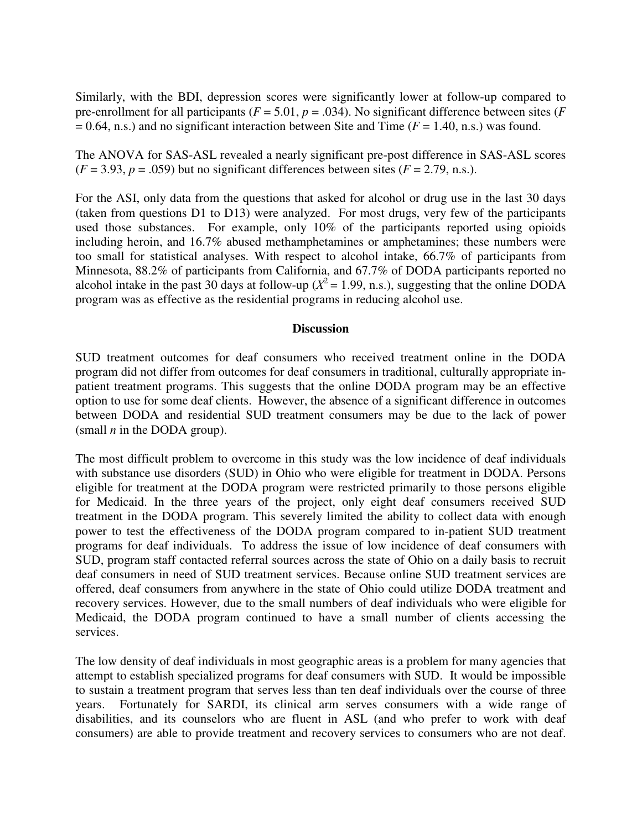Similarly, with the BDI, depression scores were significantly lower at follow-up compared to pre-enrollment for all participants ( $F = 5.01$ ,  $p = .034$ ). No significant difference between sites ( $F = 5.01$  $= 0.64$ , n.s.) and no significant interaction between Site and Time ( $F = 1.40$ , n.s.) was found.

The ANOVA for SAS-ASL revealed a nearly significant pre-post difference in SAS-ASL scores  $(F = 3.93, p = .059)$  but no significant differences between sites  $(F = 2.79, n.s.).$ 

For the ASI, only data from the questions that asked for alcohol or drug use in the last 30 days (taken from questions D1 to D13) were analyzed. For most drugs, very few of the participants used those substances. For example, only 10% of the participants reported using opioids including heroin, and 16.7% abused methamphetamines or amphetamines; these numbers were too small for statistical analyses. With respect to alcohol intake, 66.7% of participants from Minnesota, 88.2% of participants from California, and 67.7% of DODA participants reported no alcohol intake in the past 30 days at follow-up ( $X^2 = 1.99$ , n.s.), suggesting that the online DODA program was as effective as the residential programs in reducing alcohol use.

### **Discussion**

SUD treatment outcomes for deaf consumers who received treatment online in the DODA program did not differ from outcomes for deaf consumers in traditional, culturally appropriate inpatient treatment programs. This suggests that the online DODA program may be an effective option to use for some deaf clients. However, the absence of a significant difference in outcomes between DODA and residential SUD treatment consumers may be due to the lack of power (small *n* in the DODA group).

The most difficult problem to overcome in this study was the low incidence of deaf individuals with substance use disorders (SUD) in Ohio who were eligible for treatment in DODA. Persons eligible for treatment at the DODA program were restricted primarily to those persons eligible for Medicaid. In the three years of the project, only eight deaf consumers received SUD treatment in the DODA program. This severely limited the ability to collect data with enough power to test the effectiveness of the DODA program compared to in-patient SUD treatment programs for deaf individuals. To address the issue of low incidence of deaf consumers with SUD, program staff contacted referral sources across the state of Ohio on a daily basis to recruit deaf consumers in need of SUD treatment services. Because online SUD treatment services are offered, deaf consumers from anywhere in the state of Ohio could utilize DODA treatment and recovery services. However, due to the small numbers of deaf individuals who were eligible for Medicaid, the DODA program continued to have a small number of clients accessing the services.

The low density of deaf individuals in most geographic areas is a problem for many agencies that attempt to establish specialized programs for deaf consumers with SUD. It would be impossible to sustain a treatment program that serves less than ten deaf individuals over the course of three years. Fortunately for SARDI, its clinical arm serves consumers with a wide range of disabilities, and its counselors who are fluent in ASL (and who prefer to work with deaf consumers) are able to provide treatment and recovery services to consumers who are not deaf.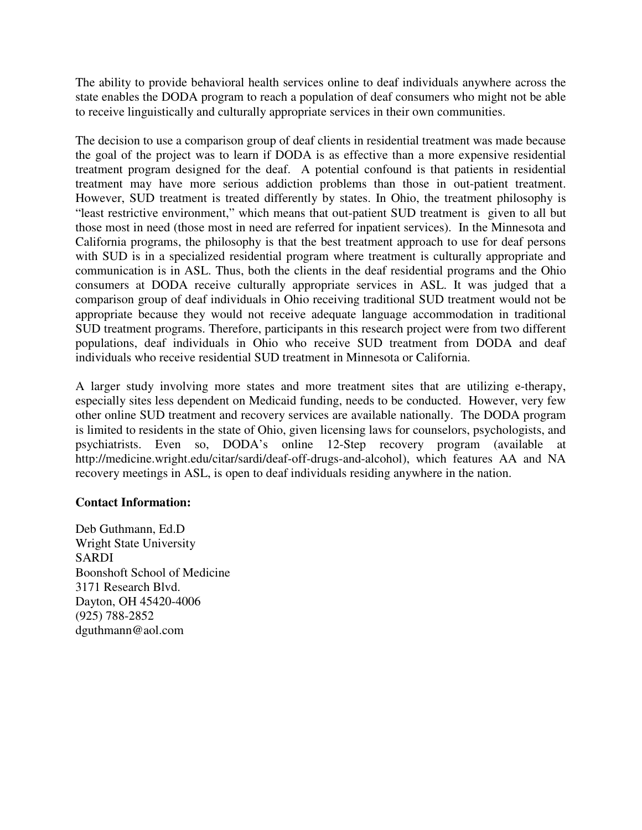The ability to provide behavioral health services online to deaf individuals anywhere across the state enables the DODA program to reach a population of deaf consumers who might not be able to receive linguistically and culturally appropriate services in their own communities.

The decision to use a comparison group of deaf clients in residential treatment was made because the goal of the project was to learn if DODA is as effective than a more expensive residential treatment program designed for the deaf. A potential confound is that patients in residential treatment may have more serious addiction problems than those in out-patient treatment. However, SUD treatment is treated differently by states. In Ohio, the treatment philosophy is "least restrictive environment," which means that out-patient SUD treatment is given to all but those most in need (those most in need are referred for inpatient services). In the Minnesota and California programs, the philosophy is that the best treatment approach to use for deaf persons with SUD is in a specialized residential program where treatment is culturally appropriate and communication is in ASL. Thus, both the clients in the deaf residential programs and the Ohio consumers at DODA receive culturally appropriate services in ASL. It was judged that a comparison group of deaf individuals in Ohio receiving traditional SUD treatment would not be appropriate because they would not receive adequate language accommodation in traditional SUD treatment programs. Therefore, participants in this research project were from two different populations, deaf individuals in Ohio who receive SUD treatment from DODA and deaf individuals who receive residential SUD treatment in Minnesota or California.

A larger study involving more states and more treatment sites that are utilizing e-therapy, especially sites less dependent on Medicaid funding, needs to be conducted. However, very few other online SUD treatment and recovery services are available nationally. The DODA program is limited to residents in the state of Ohio, given licensing laws for counselors, psychologists, and psychiatrists. Even so, DODA's online 12-Step recovery program (available at http://medicine.wright.edu/citar/sardi/deaf-off-drugs-and-alcohol), which features AA and NA recovery meetings in ASL, is open to deaf individuals residing anywhere in the nation.

# **Contact Information:**

Deb Guthmann, Ed.D Wright State University SARDI Boonshoft School of Medicine 3171 Research Blvd. Dayton, OH 45420-4006 (925) 788-2852 dguthmann@aol.com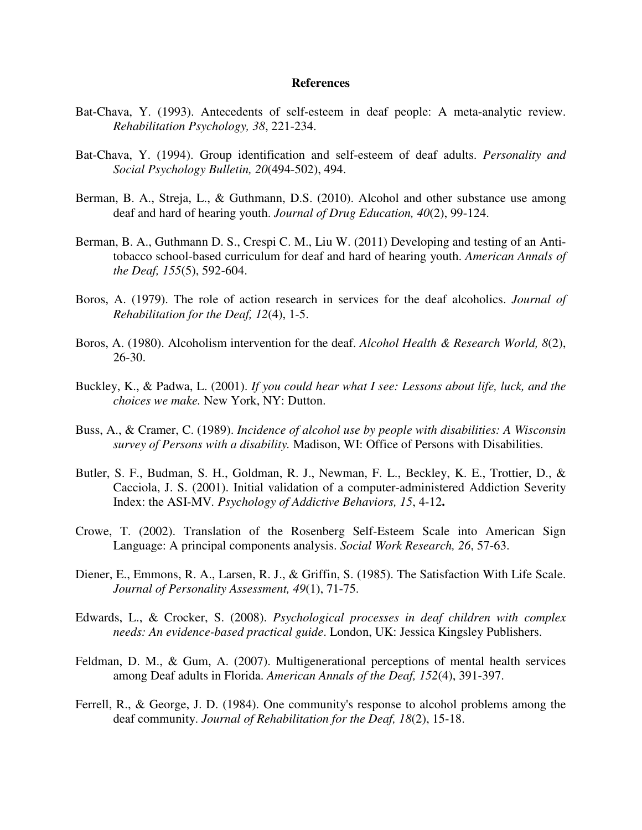#### **References**

- Bat-Chava, Y. (1993). Antecedents of self-esteem in deaf people: A meta-analytic review. *Rehabilitation Psychology, 38*, 221-234.
- Bat-Chava, Y. (1994). Group identification and self-esteem of deaf adults. *Personality and Social Psychology Bulletin, 20*(494-502), 494.
- Berman, B. A., Streja, L., & Guthmann, D.S. (2010). Alcohol and other substance use among deaf and hard of hearing youth. *Journal of Drug Education, 40*(2), 99-124.
- Berman, B. A., Guthmann D. S., Crespi C. M., Liu W. (2011) Developing and testing of an Antitobacco school-based curriculum for deaf and hard of hearing youth. *American Annals of the Deaf, 155*(5), 592-604.
- Boros, A. (1979). The role of action research in services for the deaf alcoholics. *Journal of Rehabilitation for the Deaf, 12*(4), 1-5.
- Boros, A. (1980). Alcoholism intervention for the deaf. *Alcohol Health & Research World, 8*(2), 26-30.
- Buckley, K., & Padwa, L. (2001). *If you could hear what I see: Lessons about life, luck, and the choices we make.* New York, NY: Dutton.
- Buss, A., & Cramer, C. (1989). *Incidence of alcohol use by people with disabilities: A Wisconsin survey of Persons with a disability.* Madison, WI: Office of Persons with Disabilities.
- Butler, S. F., Budman, S. H., Goldman, R. J., Newman, F. L., Beckley, K. E., Trottier, D., & Cacciola, J. S. (2001). Initial validation of a computer-administered Addiction Severity Index: the ASI-MV*. Psychology of Addictive Behaviors, 15*, 4-12**.**
- Crowe, T. (2002). Translation of the Rosenberg Self-Esteem Scale into American Sign Language: A principal components analysis. *Social Work Research, 26*, 57-63.
- Diener, E., Emmons, R. A., Larsen, R. J., & Griffin, S. (1985). The Satisfaction With Life Scale. *Journal of Personality Assessment, 49*(1), 71-75.
- Edwards, L., & Crocker, S. (2008). *Psychological processes in deaf children with complex needs: An evidence-based practical guide*. London, UK: Jessica Kingsley Publishers.
- Feldman, D. M., & Gum, A. (2007). Multigenerational perceptions of mental health services among Deaf adults in Florida. *American Annals of the Deaf, 152*(4), 391-397.
- Ferrell, R., & George, J. D. (1984). One community's response to alcohol problems among the deaf community. *Journal of Rehabilitation for the Deaf, 18*(2), 15-18.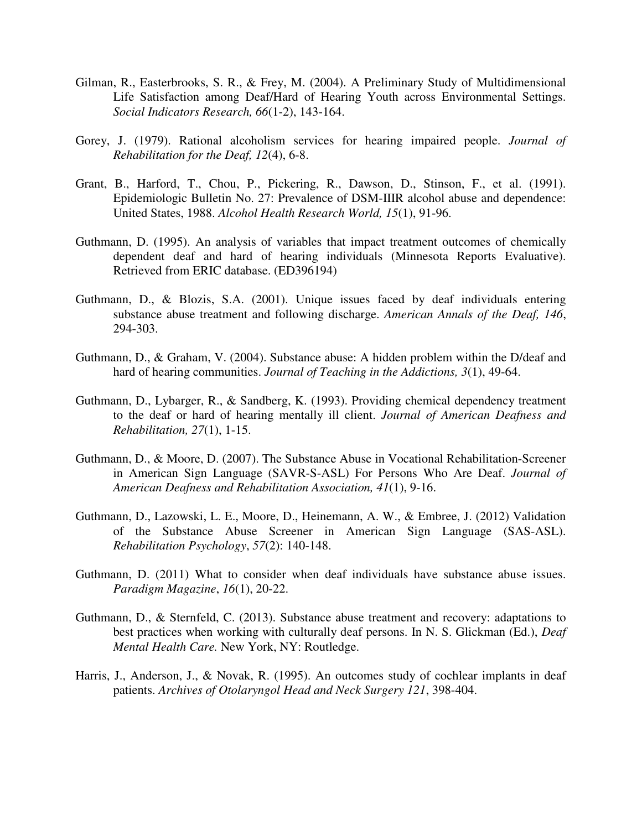- Gilman, R., Easterbrooks, S. R., & Frey, M. (2004). A Preliminary Study of Multidimensional Life Satisfaction among Deaf/Hard of Hearing Youth across Environmental Settings. *Social Indicators Research, 66*(1-2), 143-164.
- Gorey, J. (1979). Rational alcoholism services for hearing impaired people. *Journal of Rehabilitation for the Deaf, 12*(4), 6-8.
- Grant, B., Harford, T., Chou, P., Pickering, R., Dawson, D., Stinson, F., et al. (1991). Epidemiologic Bulletin No. 27: Prevalence of DSM-IIIR alcohol abuse and dependence: United States, 1988. *Alcohol Health Research World, 15*(1), 91-96.
- Guthmann, D. (1995). An analysis of variables that impact treatment outcomes of chemically dependent deaf and hard of hearing individuals (Minnesota Reports Evaluative). Retrieved from ERIC database. (ED396194)
- Guthmann, D., & Blozis, S.A. (2001). Unique issues faced by deaf individuals entering substance abuse treatment and following discharge. *American Annals of the Deaf, 146*, 294-303.
- Guthmann, D., & Graham, V. (2004). Substance abuse: A hidden problem within the D/deaf and hard of hearing communities. *Journal of Teaching in the Addictions, 3*(1), 49-64.
- Guthmann, D., Lybarger, R., & Sandberg, K. (1993). Providing chemical dependency treatment to the deaf or hard of hearing mentally ill client. *Journal of American Deafness and Rehabilitation, 27*(1), 1-15.
- Guthmann, D., & Moore, D. (2007). The Substance Abuse in Vocational Rehabilitation-Screener in American Sign Language (SAVR-S-ASL) For Persons Who Are Deaf. *Journal of American Deafness and Rehabilitation Association, 41*(1), 9-16.
- Guthmann, D., Lazowski, L. E., Moore, D., Heinemann, A. W., & Embree, J. (2012) Validation of the Substance Abuse Screener in American Sign Language (SAS-ASL). *Rehabilitation Psychology*, *57*(2): 140-148.
- Guthmann, D. (2011) What to consider when deaf individuals have substance abuse issues. *Paradigm Magazine*, *16*(1), 20-22.
- Guthmann, D., & Sternfeld, C. (2013). Substance abuse treatment and recovery: adaptations to best practices when working with culturally deaf persons. In N. S. Glickman (Ed.), *Deaf Mental Health Care.* New York, NY: Routledge.
- Harris, J., Anderson, J., & Novak, R. (1995). An outcomes study of cochlear implants in deaf patients. *Archives of Otolaryngol Head and Neck Surgery 121*, 398-404.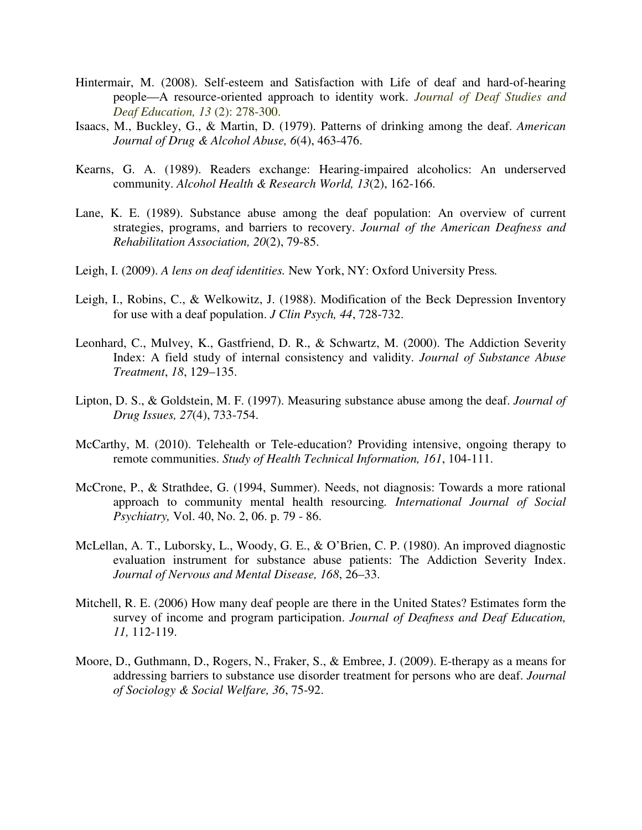- Hintermair, M. (2008). Self-esteem and Satisfaction with Life of deaf and hard-of-hearing people—A resource-oriented approach to identity work. *Journal of Deaf Studies and Deaf Education, 13* (2): 278-300.
- Isaacs, M., Buckley, G., & Martin, D. (1979). Patterns of drinking among the deaf. *American Journal of Drug & Alcohol Abuse, 6*(4), 463-476.
- Kearns, G. A. (1989). Readers exchange: Hearing-impaired alcoholics: An underserved community. *Alcohol Health & Research World, 13*(2), 162-166.
- Lane, K. E. (1989). Substance abuse among the deaf population: An overview of current strategies, programs, and barriers to recovery. *Journal of the American Deafness and Rehabilitation Association, 20*(2), 79-85.
- Leigh, I. (2009). *A lens on deaf identities.* New York, NY: Oxford University Press*.*
- Leigh, I., Robins, C., & Welkowitz, J. (1988). Modification of the Beck Depression Inventory for use with a deaf population. *J Clin Psych, 44*, 728-732.
- Leonhard, C., Mulvey, K., Gastfriend, D. R., & Schwartz, M. (2000). The Addiction Severity Index: A field study of internal consistency and validity. *Journal of Substance Abuse Treatment*, *18*, 129–135.
- Lipton, D. S., & Goldstein, M. F. (1997). Measuring substance abuse among the deaf. *Journal of Drug Issues, 27*(4), 733-754.
- McCarthy, M. (2010). Telehealth or Tele-education? Providing intensive, ongoing therapy to remote communities. *Study of Health Technical Information, 161*, 104-111.
- McCrone, P., & Strathdee, G. (1994, Summer). Needs, not diagnosis: Towards a more rational approach to community mental health resourcing*. International Journal of Social Psychiatry,* Vol. 40, No. 2, 06. p. 79 - 86.
- McLellan, A. T., Luborsky, L., Woody, G. E., & O'Brien, C. P. (1980). An improved diagnostic evaluation instrument for substance abuse patients: The Addiction Severity Index. *Journal of Nervous and Mental Disease, 168*, 26–33.
- Mitchell, R. E. (2006) How many deaf people are there in the United States? Estimates form the survey of income and program participation. *Journal of Deafness and Deaf Education, 11,* 112-119.
- Moore, D., Guthmann, D., Rogers, N., Fraker, S., & Embree, J. (2009). E-therapy as a means for addressing barriers to substance use disorder treatment for persons who are deaf. *Journal of Sociology & Social Welfare, 36*, 75-92.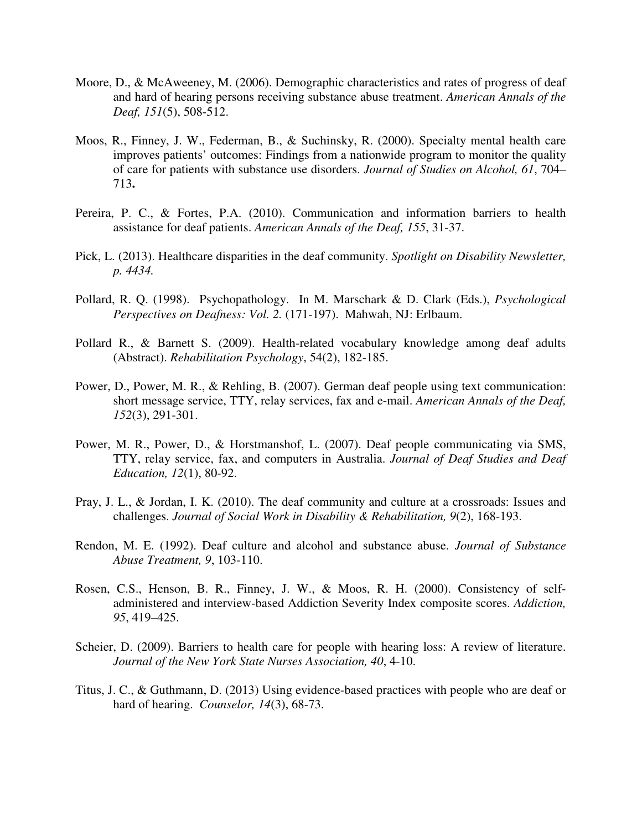- Moore, D., & McAweeney, M. (2006). Demographic characteristics and rates of progress of deaf and hard of hearing persons receiving substance abuse treatment. *American Annals of the Deaf, 151*(5), 508-512.
- Moos, R., Finney, J. W., Federman, B., & Suchinsky, R. (2000). Specialty mental health care improves patients' outcomes: Findings from a nationwide program to monitor the quality of care for patients with substance use disorders. *Journal of Studies on Alcohol, 61*, 704– 713**.**
- Pereira, P. C., & Fortes, P.A. (2010). Communication and information barriers to health assistance for deaf patients. *American Annals of the Deaf, 155*, 31-37.
- Pick, L. (2013). Healthcare disparities in the deaf community. *Spotlight on Disability Newsletter, p. 4434.*
- Pollard, R. Q. (1998). Psychopathology. In M. Marschark & D. Clark (Eds.), *Psychological Perspectives on Deafness: Vol. 2.* (171-197). Mahwah, NJ: Erlbaum.
- Pollard R., & Barnett S. (2009). Health-related vocabulary knowledge among deaf adults (Abstract). *Rehabilitation Psychology*, 54(2), 182-185.
- Power, D., Power, M. R., & Rehling, B. (2007). German deaf people using text communication: short message service, TTY, relay services, fax and e-mail. *American Annals of the Deaf, 152*(3), 291-301.
- Power, M. R., Power, D., & Horstmanshof, L. (2007). Deaf people communicating via SMS, TTY, relay service, fax, and computers in Australia. *Journal of Deaf Studies and Deaf Education, 12*(1), 80-92.
- Pray, J. L., & Jordan, I. K. (2010). The deaf community and culture at a crossroads: Issues and challenges. *Journal of Social Work in Disability & Rehabilitation, 9*(2), 168-193.
- Rendon, M. E. (1992). Deaf culture and alcohol and substance abuse. *Journal of Substance Abuse Treatment, 9*, 103-110.
- Rosen, C.S., Henson, B. R., Finney, J. W., & Moos, R. H. (2000). Consistency of selfadministered and interview-based Addiction Severity Index composite scores. *Addiction, 95*, 419–425.
- Scheier, D. (2009). Barriers to health care for people with hearing loss: A review of literature. *Journal of the New York State Nurses Association, 40*, 4-10.
- Titus, J. C., & Guthmann, D. (2013) Using evidence-based practices with people who are deaf or hard of hearing. *Counselor, 14*(3), 68-73.